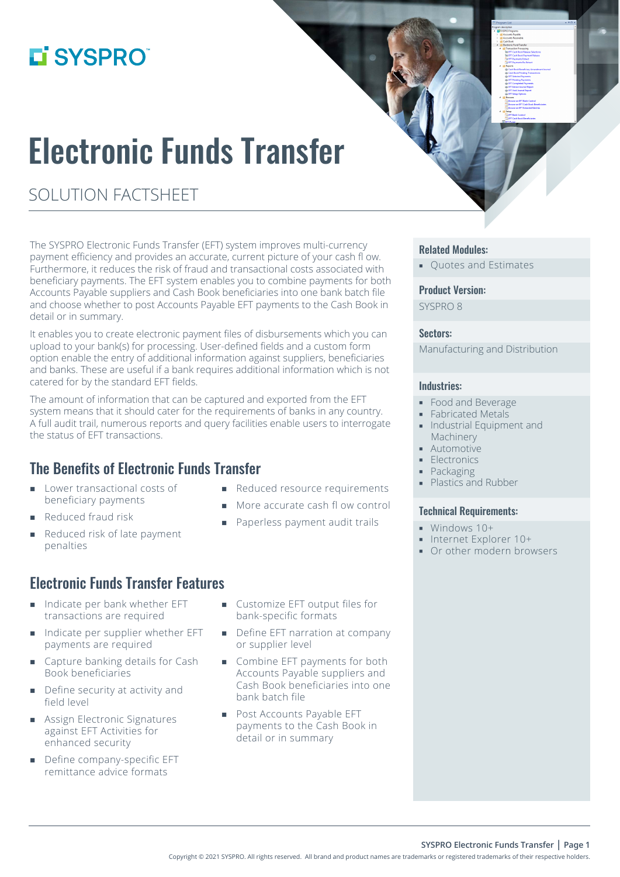## L'SYSPRO®

# Electronic Funds Transfer

## SOLUTION FACTSHEET

The SYSPRO Electronic Funds Transfer (EFT) system improves multi-currency payment efficiency and provides an accurate, current picture of your cash fl ow. Furthermore, it reduces the risk of fraud and transactional costs associated with beneficiary payments. The EFT system enables you to combine payments for both Accounts Payable suppliers and Cash Book beneficiaries into one bank batch file and choose whether to post Accounts Payable EFT payments to the Cash Book in detail or in summary.

It enables you to create electronic payment files of disbursements which you can upload to your bank(s) for processing. User-defined fields and a custom form option enable the entry of additional information against suppliers, beneficiaries and banks. These are useful if a bank requires additional information which is not catered for by the standard EFT fields.

The amount of information that can be captured and exported from the EFT system means that it should cater for the requirements of banks in any country. A full audit trail, numerous reports and query facilities enable users to interrogate the status of EFT transactions.

## The Benefits of Electronic Funds Transfer

- **Lower transactional costs of** beneficiary payments
- Reduced fraud risk
- Reduced risk of late payment penalties
- Electronic Funds Transfer Features
- Indicate per bank whether EFT transactions are required
- Indicate per supplier whether EFT payments are required
- Capture banking details for Cash Book beneficiaries
- Define security at activity and field level
- **Assign Electronic Signatures** against EFT Activities for enhanced security
- Define company-specific EFT remittance advice formats
- Reduced resource requirements
- More accurate cash fl ow control
- **Paperless payment audit trails**
- Customize EFT output files for bank-specific formats
- Define EFT narration at company or supplier level
- Combine EFT payments for both Accounts Payable suppliers and Cash Book beneficiaries into one bank batch file
- **Post Accounts Payable EFT** payments to the Cash Book in detail or in summary

#### Related Modules:

**• Ouotes and Estimates** 

#### Product Version:

SYSPRO 8

#### Sectors:

Manufacturing and Distribution

#### Industries:

- Food and Beverage
- **Fabricated Metals**
- **Industrial Equipment and** Machinery
- **Automotive**
- **Electronics**
- Packaging
- **Plastics and Rubber**

#### Technical Requirements:

- Windows 10+
- Internet Explorer 10+
- **Or other modern browsers**

**SYSPRO Electronic Funds Transfer | Page 1**